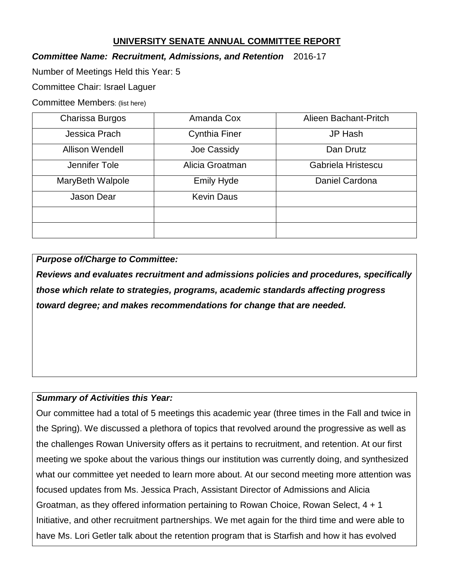## **UNIVERSITY SENATE ANNUAL COMMITTEE REPORT**

## *Committee Name: Recruitment, Admissions, and Retention* 2016-17

Number of Meetings Held this Year: 5

Committee Chair: Israel Laguer

Committee Members: (list here)

| Charissa Burgos        | Amanda Cox           | Alieen Bachant-Pritch |
|------------------------|----------------------|-----------------------|
| Jessica Prach          | <b>Cynthia Finer</b> | JP Hash               |
| <b>Allison Wendell</b> | Joe Cassidy          | Dan Drutz             |
| Jennifer Tole          | Alicia Groatman      | Gabriela Hristescu    |
| MaryBeth Walpole       | <b>Emily Hyde</b>    | Daniel Cardona        |
| Jason Dear             | <b>Kevin Daus</b>    |                       |
|                        |                      |                       |
|                        |                      |                       |

*Purpose of/Charge to Committee:*

*Reviews and evaluates recruitment and admissions policies and procedures, specifically those which relate to strategies, programs, academic standards affecting progress toward degree; and makes recommendations for change that are needed.* 

## *Summary of Activities this Year:*

Our committee had a total of 5 meetings this academic year (three times in the Fall and twice in the Spring). We discussed a plethora of topics that revolved around the progressive as well as the challenges Rowan University offers as it pertains to recruitment, and retention. At our first meeting we spoke about the various things our institution was currently doing, and synthesized what our committee yet needed to learn more about. At our second meeting more attention was focused updates from Ms. Jessica Prach, Assistant Director of Admissions and Alicia Groatman, as they offered information pertaining to Rowan Choice, Rowan Select, 4 + 1 Initiative, and other recruitment partnerships. We met again for the third time and were able to have Ms. Lori Getler talk about the retention program that is Starfish and how it has evolved